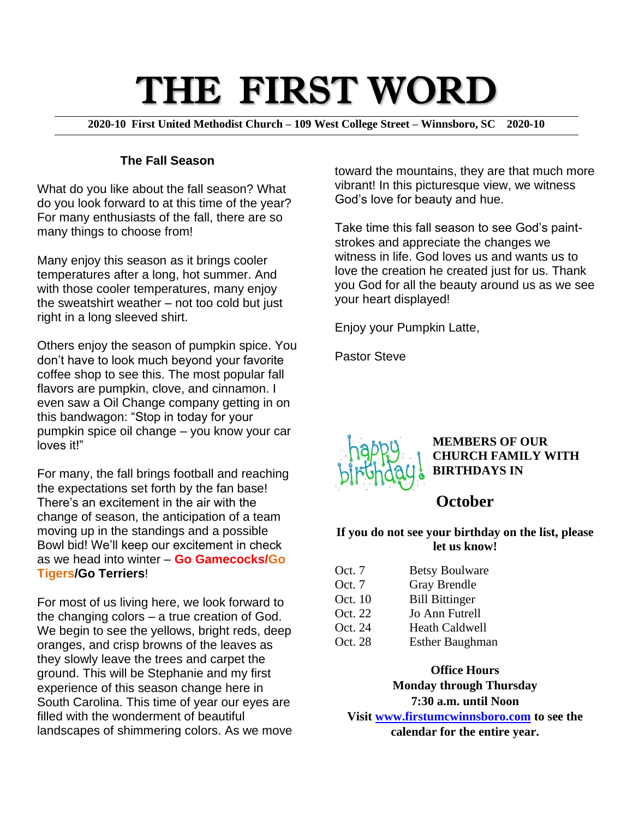# THE FIRST WORD

**2020-10 First United Methodist Church – 109 West College Street – Winnsboro, SC 2020-10**

#### **The Fall Season**

What do you like about the fall season? What do you look forward to at this time of the year? For many enthusiasts of the fall, there are so many things to choose from!

Many enjoy this season as it brings cooler temperatures after a long, hot summer. And with those cooler temperatures, many enjoy the sweatshirt weather – not too cold but just right in a long sleeved shirt.

Others enjoy the season of pumpkin spice. You don't have to look much beyond your favorite coffee shop to see this. The most popular fall flavors are pumpkin, clove, and cinnamon. I even saw a Oil Change company getting in on this bandwagon: "Stop in today for your pumpkin spice oil change – you know your car loves it!"

For many, the fall brings football and reaching the expectations set forth by the fan base! There's an excitement in the air with the change of season, the anticipation of a team moving up in the standings and a possible Bowl bid! We'll keep our excitement in check as we head into winter – **Go Gamecocks/Go Tigers/Go Terriers**!

For most of us living here, we look forward to the changing colors – a true creation of God. We begin to see the yellows, bright reds, deep oranges, and crisp browns of the leaves as they slowly leave the trees and carpet the ground. This will be Stephanie and my first experience of this season change here in South Carolina. This time of year our eyes are filled with the wonderment of beautiful landscapes of shimmering colors. As we move toward the mountains, they are that much more vibrant! In this picturesque view, we witness God's love for beauty and hue.

Take time this fall season to see God's paintstrokes and appreciate the changes we witness in life. God loves us and wants us to love the creation he created just for us. Thank you God for all the beauty around us as we see your heart displayed!

Enjoy your Pumpkin Latte,

Pastor Steve



**MEMBERS OF OUR CHURCH FAMILY WITH BIRTHDAYS IN** 

### **October**

#### **If you do not see your birthday on the list, please let us know!**

| Oct. 7   | <b>Betsy Boulware</b>  |
|----------|------------------------|
| Oct. $7$ | <b>Gray Brendle</b>    |
| Oct. 10  | <b>Bill Bittinger</b>  |
| Oct. 22  | Jo Ann Futrell         |
| Oct. 24  | <b>Heath Caldwell</b>  |
| Oct. 28  | <b>Esther Baughman</b> |

**Office Hours**

**Monday through Thursday 7:30 a.m. until Noon Visit [www.firstumcwinnsboro.com](http://www.firstumcwinnsboro.com/) to see the calendar for the entire year.**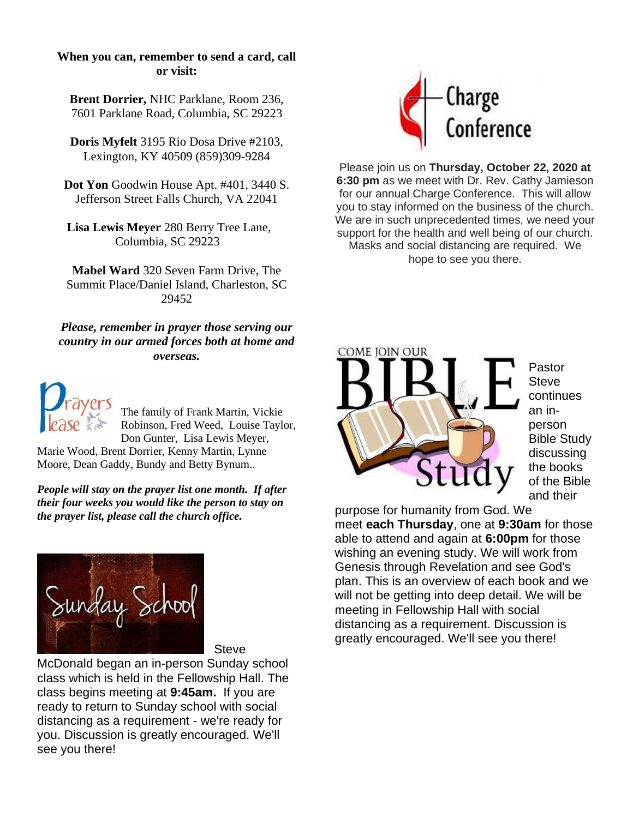#### **When you can, remember to send a card, call or visit:**

**Brent Dorrier,** NHC Parklane, Room 236, 7601 Parklane Road, Columbia, SC 29223

**Doris Myfelt** 3195 Rio Dosa Drive #2103, Lexington, KY 40509 (859)309-9284

**Dot Yon** Goodwin House Apt. #401, 3440 S. Jefferson Street Falls Church, VA 22041

**Lisa Lewis Meyer** 280 Berry Tree Lane, Columbia, SC 29223

**Mabel Ward** 320 Seven Farm Drive, The Summit Place/Daniel Island, Charleston, SC 29452

*Please, remember in prayer those serving our country in our armed forces both at home and overseas.*



The family of Frank Martin, Vickie Robinson, Fred Weed, Louise Taylor, Don Gunter, Lisa Lewis Meyer,

Marie Wood, Brent Dorrier, Kenny Martin, Lynne Moore, Dean Gaddy, Bundy and Betty Bynum..

*People will stay on the prayer list one month. If after their four weeks you would like the person to stay on the prayer list, please call the church office.*



**Steve** 

McDonald began an in-person Sunday school class which is held in the Fellowship Hall. The class begins meeting at **9:45am.** If you are ready to return to Sunday school with social distancing as a requirement - we're ready for you. Discussion is greatly encouraged. We'll see you there!



Please join us on **Thursday, October 22, 2020 at 6:30 pm** as we meet with Dr. Rev. Cathy Jamieson for our annual Charge Conference. This will allow you to stay informed on the business of the church. We are in such unprecedented times, we need your support for the health and well being of our church. Masks and social distancing are required. We hope to see you there.



Pastor **Steve** continues an inperson Bible Study discussing the books of the Bible and their

purpose for humanity from God. We meet **each Thursday**, one at **9:30am** for those able to attend and again at **6:00pm** for those wishing an evening study. We will work from Genesis through Revelation and see God's plan. This is an overview of each book and we will not be getting into deep detail. We will be meeting in Fellowship Hall with social distancing as a requirement. Discussion is greatly encouraged. We'll see you there!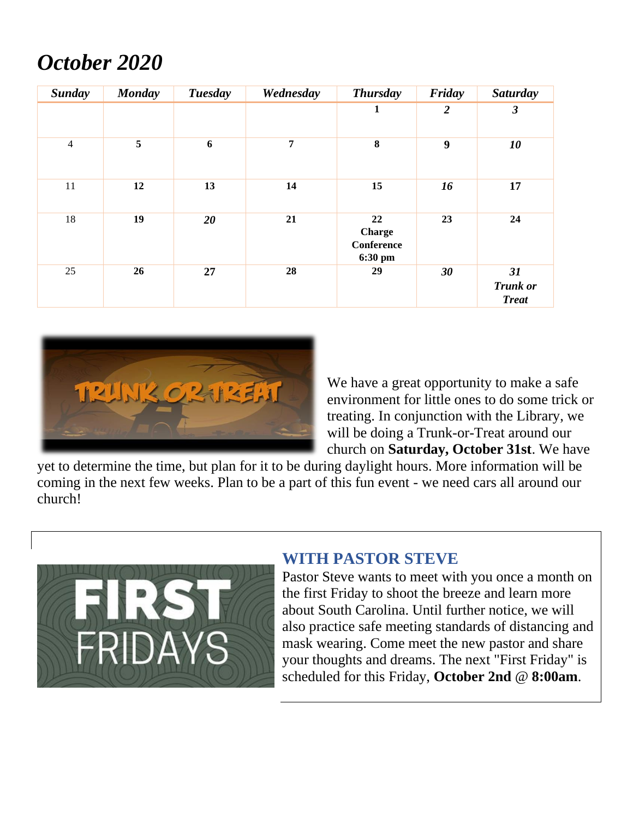# *October 2020*

| <b>Sunday</b>  | <b>Monday</b> | <b>Tuesday</b> | Wednesday      | <b>Thursday</b>                                     | Friday         | <b>Saturday</b>                       |
|----------------|---------------|----------------|----------------|-----------------------------------------------------|----------------|---------------------------------------|
|                |               |                |                | 1                                                   | $\overline{2}$ | 3                                     |
| $\overline{4}$ | 5             | 6              | $\overline{7}$ | 8                                                   | 9              | 10                                    |
| 11             | 12            | 13             | 14             | 15                                                  | 16             | 17                                    |
| 18             | 19            | 20             | 21             | 22<br><b>Charge</b><br><b>Conference</b><br>6:30 pm | 23             | 24                                    |
| 25             | 26            | 27             | 28             | 29                                                  | 30             | 31<br><b>Trunk</b> or<br><b>Treat</b> |



We have a great opportunity to make a safe environment for little ones to do some trick or treating. In conjunction with the Library, we will be doing a Trunk-or-Treat around our church on **Saturday, October 31st**. We have

yet to determine the time, but plan for it to be during daylight hours. More information will be coming in the next few weeks. Plan to be a part of this fun event - we need cars all around our church!



## **WITH PASTOR STEVE**

Pastor Steve wants to meet with you once a month on the first Friday to shoot the breeze and learn more about South Carolina. Until further notice, we will also practice safe meeting standards of distancing and mask wearing. Come meet the new pastor and share your thoughts and dreams. The next "First Friday" is scheduled for this Friday, **October 2nd** @ **8:00am**.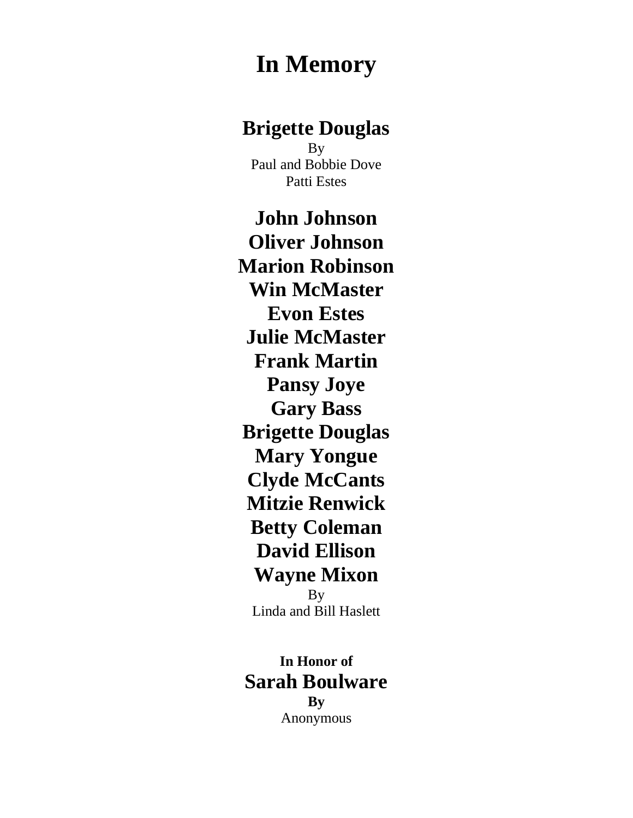# **In Memory**

## **Brigette Douglas**

By Paul and Bobbie Dove Patti Estes

**John Johnson Oliver Johnson Marion Robinson Win McMaster Evon Estes Julie McMaster Frank Martin Pansy Joye Gary Bass Brigette Douglas Mary Yongue Clyde McCants Mitzie Renwick Betty Coleman David Ellison Wayne Mixon By** Linda and Bill Haslett

**In Honor of Sarah Boulware By** Anonymous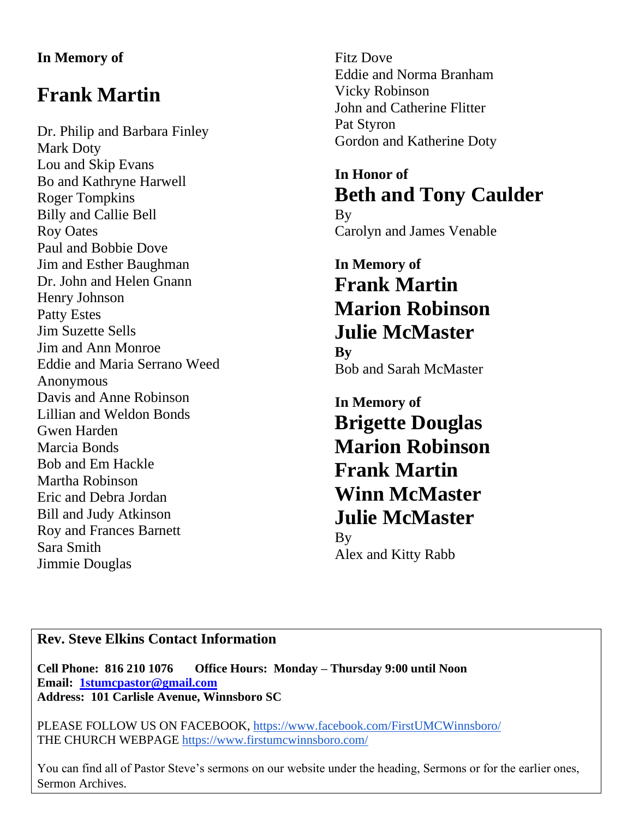#### **In Memory of**

# **Frank Martin**

Dr. Philip and Barbara Finley Mark Doty Lou and Skip Evans Bo and Kathryne Harwell Roger Tompkins Billy and Callie Bell Roy Oates Paul and Bobbie Dove Jim and Esther Baughman Dr. John and Helen Gnann Henry Johnson Patty Estes Jim Suzette Sells Jim and Ann Monroe Eddie and Maria Serrano Weed Anonymous Davis and Anne Robinson Lillian and Weldon Bonds Gwen Harden Marcia Bonds Bob and Em Hackle Martha Robinson Eric and Debra Jordan Bill and Judy Atkinson Roy and Frances Barnett Sara Smith Jimmie Douglas

Fitz Dove Eddie and Norma Branham Vicky Robinson John and Catherine Flitter Pat Styron Gordon and Katherine Doty

**In Honor of Beth and Tony Caulder** By Carolyn and James Venable

## **In Memory of Frank Martin Marion Robinson Julie McMaster By** Bob and Sarah McMaster

**In Memory of Brigette Douglas Marion Robinson Frank Martin Winn McMaster Julie McMaster B**<sub>V</sub> Alex and Kitty Rabb

### **Rev. Steve Elkins Contact Information**

**Cell Phone: 816 210 1076 Office Hours: Monday – Thursday 9:00 until Noon Email: [1stumcpastor@gmail.com](mailto:1stumcpastor@gmail.com) Address: 101 Carlisle Avenue, Winnsboro SC**

PLEASE FOLLOW US ON FACEBOOK,<https://www.facebook.com/FirstUMCWinnsboro/> THE CHURCH WEBPAGE<https://www.firstumcwinnsboro.com/>

You can find all of Pastor Steve's sermons on our website under the heading, Sermons or for the earlier ones, Sermon Archives.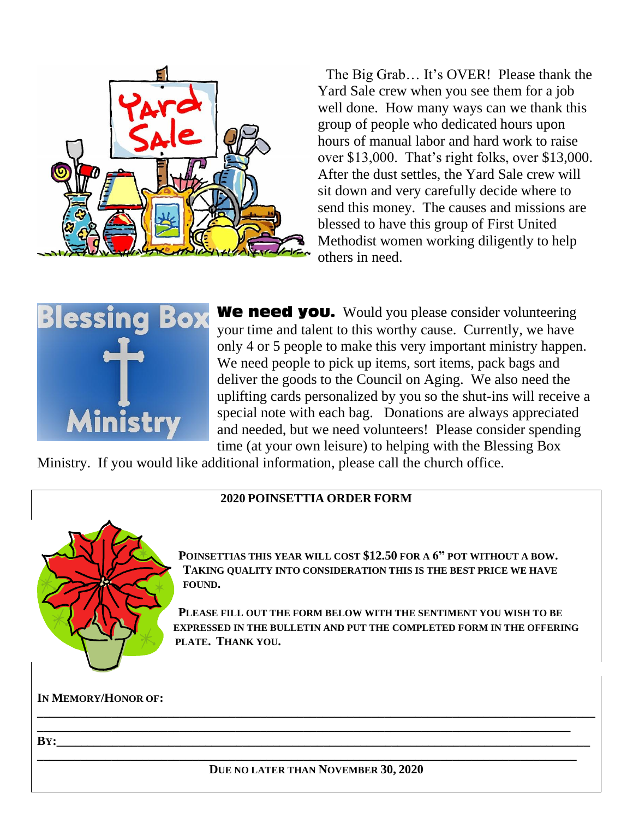

The Big Grab… It's OVER! Please thank the Yard Sale crew when you see them for a job well done. How many ways can we thank this group of people who dedicated hours upon hours of manual labor and hard work to raise over \$13,000. That's right folks, over \$13,000. After the dust settles, the Yard Sale crew will sit down and very carefully decide where to send this money. The causes and missions are blessed to have this group of First United Methodist women working diligently to help others in need.



We need you. Would you please consider volunteering your time and talent to this worthy cause. Currently, we have only 4 or 5 people to make this very important ministry happen. We need people to pick up items, sort items, pack bags and deliver the goods to the Council on Aging. We also need the uplifting cards personalized by you so the shut-ins will receive a special note with each bag. Donations are always appreciated and needed, but we need volunteers! Please consider spending time (at your own leisure) to helping with the Blessing Box

Ministry. If you would like additional information, please call the church office.

#### **2020 POINSETTIA ORDER FORM**



**POINSETTIAS THIS YEAR WILL COST \$12.50 FOR A 6" POT WITHOUT A BOW. TAKING QUALITY INTO CONSIDERATION THIS IS THE BEST PRICE WE HAVE FOUND.** 

**PLEASE FILL OUT THE FORM BELOW WITH THE SENTIMENT YOU WISH TO BE EXPRESSED IN THE BULLETIN AND PUT THE COMPLETED FORM IN THE OFFERING PLATE. THANK YOU.**

#### **IN MEMORY/HONOR OF:**

#### **BY:\_\_\_\_\_\_\_\_\_\_\_\_\_\_\_\_\_\_\_\_\_\_\_\_\_\_\_\_\_\_\_\_\_\_\_\_\_\_\_\_\_\_\_\_\_\_\_\_\_\_\_\_\_\_\_\_\_\_\_\_\_\_\_\_\_\_\_\_\_\_\_\_\_\_\_\_\_\_\_\_\_\_\_\_\_\_**

**DUE NO LATER THAN NOVEMBER 30, 2020**

**\_\_\_\_\_\_\_\_\_\_\_\_\_\_\_\_\_\_\_\_\_\_\_\_\_\_\_\_\_\_\_\_\_\_\_\_\_\_\_\_\_\_\_\_\_\_\_\_\_\_\_\_\_\_\_\_\_\_\_\_\_\_\_\_\_\_\_\_\_\_\_\_\_\_\_\_\_\_\_\_\_\_\_\_\_\_\_**

**\_\_\_\_\_\_\_\_\_\_\_\_\_\_\_\_\_\_\_\_\_\_\_\_\_\_\_\_\_\_\_\_\_\_\_\_\_\_\_\_\_\_\_\_\_\_\_\_\_\_\_\_\_\_\_\_\_\_\_\_\_\_\_\_\_\_\_\_\_\_\_\_\_\_\_\_\_\_\_\_\_\_\_\_\_\_\_\_\_\_ \_\_\_\_\_\_\_\_\_\_\_\_\_\_\_\_\_\_\_\_\_\_\_\_\_\_\_\_\_\_\_\_\_\_\_\_\_\_\_\_\_\_\_\_\_\_\_\_\_\_\_\_\_\_\_\_\_\_\_\_\_\_\_\_\_\_\_\_\_\_\_\_\_\_\_\_\_\_\_\_\_\_\_\_\_\_**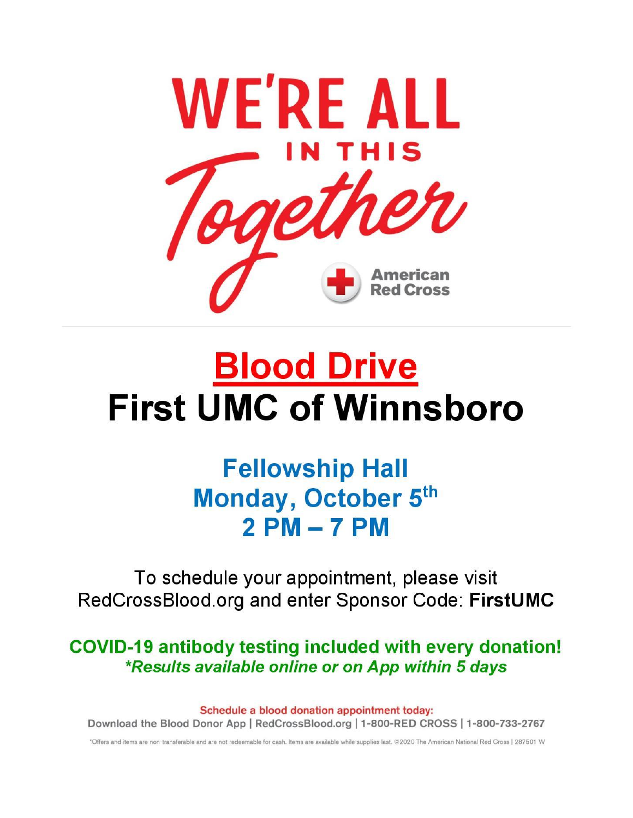

# **Blood Drive First UMC of Winnsboro**

# **Fellowship Hall** Monday, October 5th  $2PM - 7PM$

To schedule your appointment, please visit RedCrossBlood.org and enter Sponsor Code: FirstUMC

COVID-19 antibody testing included with every donation! \*Results available online or on App within 5 days

Schedule a blood donation appointment today: Download the Blood Donor App | RedCrossBlood.org | 1-800-RED CROSS | 1-800-733-2767

\*Offers and items are non-transferable and are not redeemable for cash. Items are available while supplies last. @2020 The American National Red Cross | 287501 W